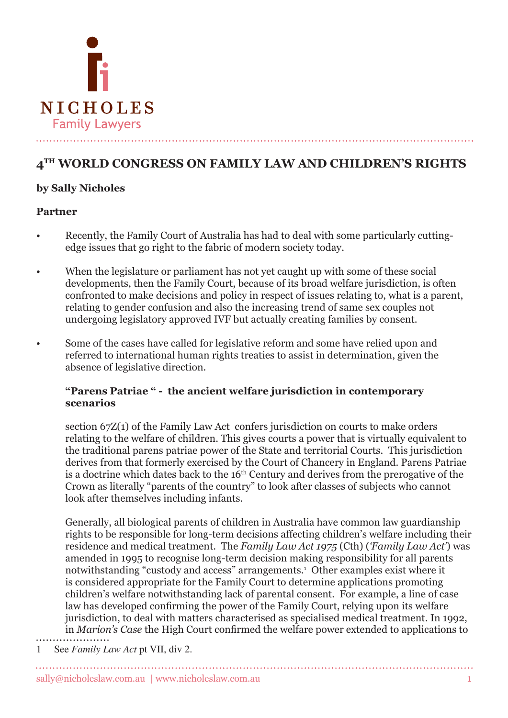

# **4TH WORLD CONGRESS ON FAMILY LAW AND CHILDREN'S RIGHTS**

## **by Sally Nicholes**

#### **Partner**

- Recently, the Family Court of Australia has had to deal with some particularly cuttingedge issues that go right to the fabric of modern society today.
- When the legislature or parliament has not yet caught up with some of these social developments, then the Family Court, because of its broad welfare jurisdiction, is often confronted to make decisions and policy in respect of issues relating to, what is a parent, relating to gender confusion and also the increasing trend of same sex couples not undergoing legislatory approved IVF but actually creating families by consent.
- Some of the cases have called for legislative reform and some have relied upon and referred to international human rights treaties to assist in determination, given the absence of legislative direction.

#### **"Parens Patriae " - the ancient welfare jurisdiction in contemporary scenarios**

section 67Z(1) of the Family Law Act confers jurisdiction on courts to make orders relating to the welfare of children. This gives courts a power that is virtually equivalent to the traditional parens patriae power of the State and territorial Courts. This jurisdiction derives from that formerly exercised by the Court of Chancery in England. Parens Patriae is a doctrine which dates back to the  $16<sup>th</sup>$  Century and derives from the prerogative of the Crown as literally "parents of the country" to look after classes of subjects who cannot look after themselves including infants.

Generally, all biological parents of children in Australia have common law guardianship rights to be responsible for long-term decisions affecting children's welfare including their residence and medical treatment. The *Family Law Act 1975* (Cth) (*'Family Law Act'*) was amended in 1995 to recognise long-term decision making responsibility for all parents notwithstanding "custody and access" arrangements.<sup>1</sup> Other examples exist where it is considered appropriate for the Family Court to determine applications promoting children's welfare notwithstanding lack of parental consent. For example, a line of case law has developed confirming the power of the Family Court, relying upon its welfare jurisdiction, to deal with matters characterised as specialised medical treatment. In 1992, in *Marion's Case* the High Court confirmed the welfare power extended to applications to

 See *Family Law Act* pt VII, div 2.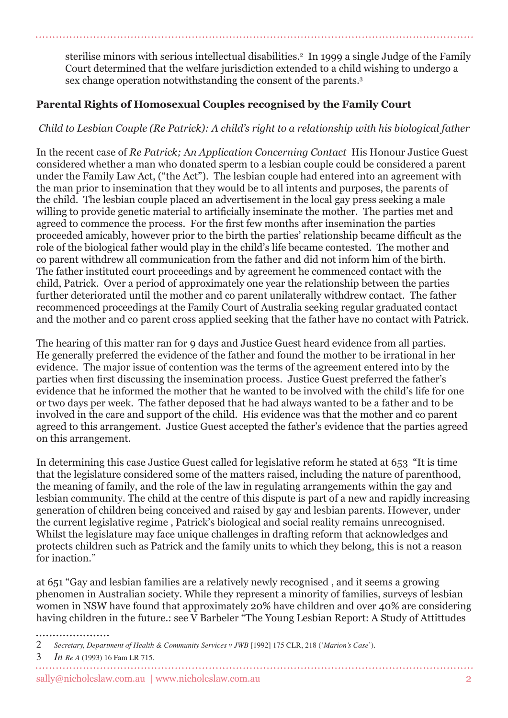sterilise minors with serious intellectual disabilities.<sup>2</sup> In 1999 a single Judge of the Family Court determined that the welfare jurisdiction extended to a child wishing to undergo a sex change operation notwithstanding the consent of the parents.

# **Parental Rights of Homosexual Couples recognised by the Family Court**

## *Child to Lesbian Couple (Re Patrick): A child's right to a relationship with his biological father*

In the recent case of *Re Patrick;* A*n Application Concerning Contact* His Honour Justice Guest considered whether a man who donated sperm to a lesbian couple could be considered a parent under the Family Law Act, ("the Act"). The lesbian couple had entered into an agreement with the man prior to insemination that they would be to all intents and purposes, the parents of the child. The lesbian couple placed an advertisement in the local gay press seeking a male willing to provide genetic material to artificially inseminate the mother. The parties met and agreed to commence the process. For the first few months after insemination the parties proceeded amicably, however prior to the birth the parties' relationship became difficult as the role of the biological father would play in the child's life became contested. The mother and co parent withdrew all communication from the father and did not inform him of the birth. The father instituted court proceedings and by agreement he commenced contact with the child, Patrick. Over a period of approximately one year the relationship between the parties further deteriorated until the mother and co parent unilaterally withdrew contact. The father recommenced proceedings at the Family Court of Australia seeking regular graduated contact and the mother and co parent cross applied seeking that the father have no contact with Patrick.

The hearing of this matter ran for 9 days and Justice Guest heard evidence from all parties. He generally preferred the evidence of the father and found the mother to be irrational in her evidence. The major issue of contention was the terms of the agreement entered into by the parties when first discussing the insemination process. Justice Guest preferred the father's evidence that he informed the mother that he wanted to be involved with the child's life for one or two days per week. The father deposed that he had always wanted to be a father and to be involved in the care and support of the child. His evidence was that the mother and co parent agreed to this arrangement. Justice Guest accepted the father's evidence that the parties agreed on this arrangement.

In determining this case Justice Guest called for legislative reform he stated at 653 "It is time that the legislature considered some of the matters raised, including the nature of parenthood, the meaning of family, and the role of the law in regulating arrangements within the gay and lesbian community. The child at the centre of this dispute is part of a new and rapidly increasing generation of children being conceived and raised by gay and lesbian parents. However, under the current legislative regime , Patrick's biological and social reality remains unrecognised. Whilst the legislature may face unique challenges in drafting reform that acknowledges and protects children such as Patrick and the family units to which they belong, this is not a reason for inaction."

at 651 "Gay and lesbian families are a relatively newly recognised , and it seems a growing phenomen in Australian society. While they represent a minority of families, surveys of lesbian women in NSW have found that approximately 20% have children and over 40% are considering having children in the future.: see V Barbeler "The Young Lesbian Report: A Study of Attittudes

 $\mathcal{D}_{\alpha}$ *Secretary, Department of Health & Community Services v JWB* [1992] 175 CLR, 218 ('*Marion's Case*').

 *In Re A* (1993) 16 Fam LR 715.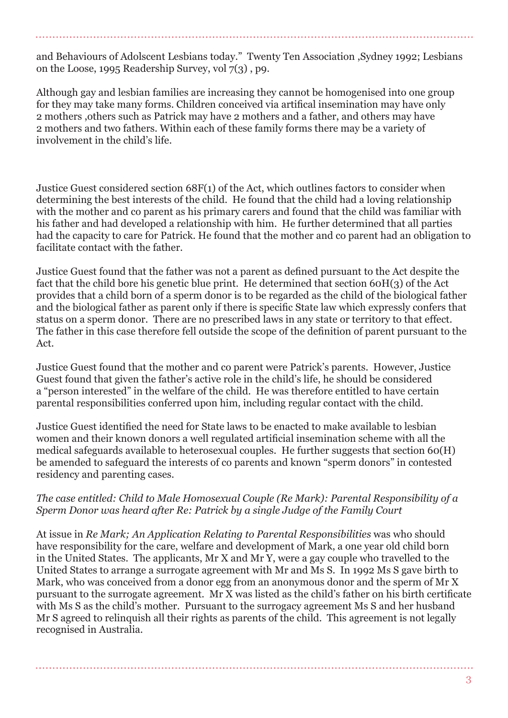and Behaviours of Adolscent Lesbians today." Twenty Ten Association ,Sydney 1992; Lesbians on the Loose, 1995 Readership Survey, vol 7(3) , p9.

Although gay and lesbian families are increasing they cannot be homogenised into one group for they may take many forms. Children conceived via artifical insemination may have only 2 mothers ,others such as Patrick may have 2 mothers and a father, and others may have 2 mothers and two fathers. Within each of these family forms there may be a variety of involvement in the child's life.

Justice Guest considered section 68F(1) of the Act, which outlines factors to consider when determining the best interests of the child. He found that the child had a loving relationship with the mother and co parent as his primary carers and found that the child was familiar with his father and had developed a relationship with him. He further determined that all parties had the capacity to care for Patrick. He found that the mother and co parent had an obligation to facilitate contact with the father.

Justice Guest found that the father was not a parent as defined pursuant to the Act despite the fact that the child bore his genetic blue print. He determined that section 60H(3) of the Act provides that a child born of a sperm donor is to be regarded as the child of the biological father and the biological father as parent only if there is specific State law which expressly confers that status on a sperm donor. There are no prescribed laws in any state or territory to that effect. The father in this case therefore fell outside the scope of the definition of parent pursuant to the Act.

Justice Guest found that the mother and co parent were Patrick's parents. However, Justice Guest found that given the father's active role in the child's life, he should be considered a "person interested" in the welfare of the child. He was therefore entitled to have certain parental responsibilities conferred upon him, including regular contact with the child.

Justice Guest identified the need for State laws to be enacted to make available to lesbian women and their known donors a well regulated artificial insemination scheme with all the medical safeguards available to heterosexual couples. He further suggests that section 60(H) be amended to safeguard the interests of co parents and known "sperm donors" in contested residency and parenting cases.

#### *The case entitled: Child to Male Homosexual Couple (Re Mark): Parental Responsibility of a Sperm Donor was heard after Re: Patrick by a single Judge of the Family Court*

At issue in *Re Mark; An Application Relating to Parental Responsibilities* was who should have responsibility for the care, welfare and development of Mark, a one year old child born in the United States. The applicants, Mr X and Mr Y, were a gay couple who travelled to the United States to arrange a surrogate agreement with Mr and Ms S. In 1992 Ms S gave birth to Mark, who was conceived from a donor egg from an anonymous donor and the sperm of Mr X pursuant to the surrogate agreement. Mr X was listed as the child's father on his birth certificate with Ms S as the child's mother. Pursuant to the surrogacy agreement Ms S and her husband Mr S agreed to relinquish all their rights as parents of the child. This agreement is not legally recognised in Australia.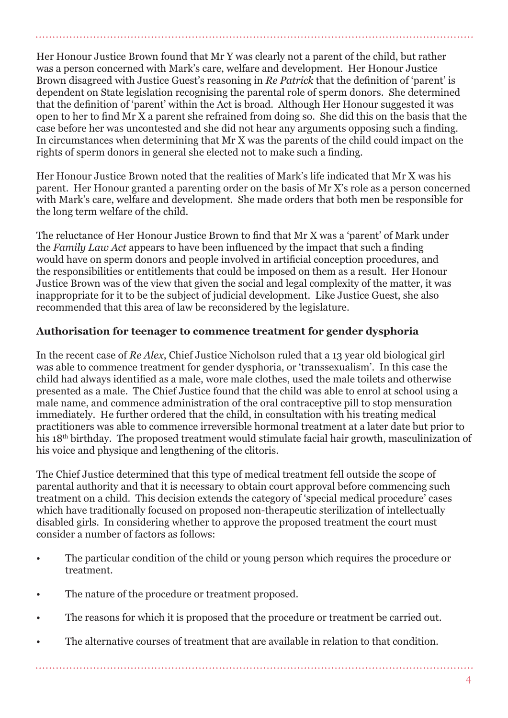Her Honour Justice Brown found that Mr Y was clearly not a parent of the child, but rather was a person concerned with Mark's care, welfare and development. Her Honour Justice Brown disagreed with Justice Guest's reasoning in *Re Patrick* that the definition of 'parent' is dependent on State legislation recognising the parental role of sperm donors. She determined that the definition of 'parent' within the Act is broad. Although Her Honour suggested it was open to her to find Mr X a parent she refrained from doing so. She did this on the basis that the case before her was uncontested and she did not hear any arguments opposing such a finding. In circumstances when determining that Mr X was the parents of the child could impact on the rights of sperm donors in general she elected not to make such a finding.

Her Honour Justice Brown noted that the realities of Mark's life indicated that Mr X was his parent. Her Honour granted a parenting order on the basis of Mr X's role as a person concerned with Mark's care, welfare and development. She made orders that both men be responsible for the long term welfare of the child.

The reluctance of Her Honour Justice Brown to find that Mr X was a 'parent' of Mark under the *Family Law Act* appears to have been influenced by the impact that such a finding would have on sperm donors and people involved in artificial conception procedures, and the responsibilities or entitlements that could be imposed on them as a result. Her Honour Justice Brown was of the view that given the social and legal complexity of the matter, it was inappropriate for it to be the subject of judicial development. Like Justice Guest, she also recommended that this area of law be reconsidered by the legislature.

## **Authorisation for teenager to commence treatment for gender dysphoria**

In the recent case of *Re Alex*, Chief Justice Nicholson ruled that a 13 year old biological girl was able to commence treatment for gender dysphoria, or 'transsexualism'. In this case the child had always identified as a male, wore male clothes, used the male toilets and otherwise presented as a male. The Chief Justice found that the child was able to enrol at school using a male name, and commence administration of the oral contraceptive pill to stop mensuration immediately. He further ordered that the child, in consultation with his treating medical practitioners was able to commence irreversible hormonal treatment at a later date but prior to his 18<sup>th</sup> birthday. The proposed treatment would stimulate facial hair growth, masculinization of his voice and physique and lengthening of the clitoris.

The Chief Justice determined that this type of medical treatment fell outside the scope of parental authority and that it is necessary to obtain court approval before commencing such treatment on a child. This decision extends the category of 'special medical procedure' cases which have traditionally focused on proposed non-therapeutic sterilization of intellectually disabled girls. In considering whether to approve the proposed treatment the court must consider a number of factors as follows:

- The particular condition of the child or young person which requires the procedure or treatment.
- The nature of the procedure or treatment proposed.
- The reasons for which it is proposed that the procedure or treatment be carried out.
- The alternative courses of treatment that are available in relation to that condition.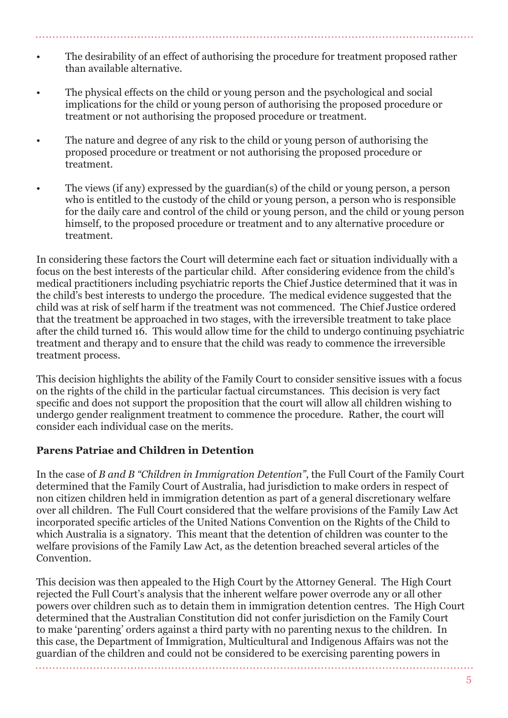- The desirability of an effect of authorising the procedure for treatment proposed rather than available alternative.
- The physical effects on the child or young person and the psychological and social implications for the child or young person of authorising the proposed procedure or treatment or not authorising the proposed procedure or treatment.
- The nature and degree of any risk to the child or young person of authorising the proposed procedure or treatment or not authorising the proposed procedure or treatment.
- The views (if any) expressed by the guardian(s) of the child or young person, a person who is entitled to the custody of the child or young person, a person who is responsible for the daily care and control of the child or young person, and the child or young person himself, to the proposed procedure or treatment and to any alternative procedure or treatment.

In considering these factors the Court will determine each fact or situation individually with a focus on the best interests of the particular child. After considering evidence from the child's medical practitioners including psychiatric reports the Chief Justice determined that it was in the child's best interests to undergo the procedure. The medical evidence suggested that the child was at risk of self harm if the treatment was not commenced. The Chief Justice ordered that the treatment be approached in two stages, with the irreversible treatment to take place after the child turned 16. This would allow time for the child to undergo continuing psychiatric treatment and therapy and to ensure that the child was ready to commence the irreversible treatment process.

This decision highlights the ability of the Family Court to consider sensitive issues with a focus on the rights of the child in the particular factual circumstances. This decision is very fact specific and does not support the proposition that the court will allow all children wishing to undergo gender realignment treatment to commence the procedure. Rather, the court will consider each individual case on the merits.

## **Parens Patriae and Children in Detention**

In the case of *B and B "Children in Immigration Detention"*, the Full Court of the Family Court determined that the Family Court of Australia, had jurisdiction to make orders in respect of non citizen children held in immigration detention as part of a general discretionary welfare over all children. The Full Court considered that the welfare provisions of the Family Law Act incorporated specific articles of the United Nations Convention on the Rights of the Child to which Australia is a signatory. This meant that the detention of children was counter to the welfare provisions of the Family Law Act, as the detention breached several articles of the Convention.

This decision was then appealed to the High Court by the Attorney General. The High Court rejected the Full Court's analysis that the inherent welfare power overrode any or all other powers over children such as to detain them in immigration detention centres. The High Court determined that the Australian Constitution did not confer jurisdiction on the Family Court to make 'parenting' orders against a third party with no parenting nexus to the children. In this case, the Department of Immigration, Multicultural and Indigenous Affairs was not the guardian of the children and could not be considered to be exercising parenting powers in